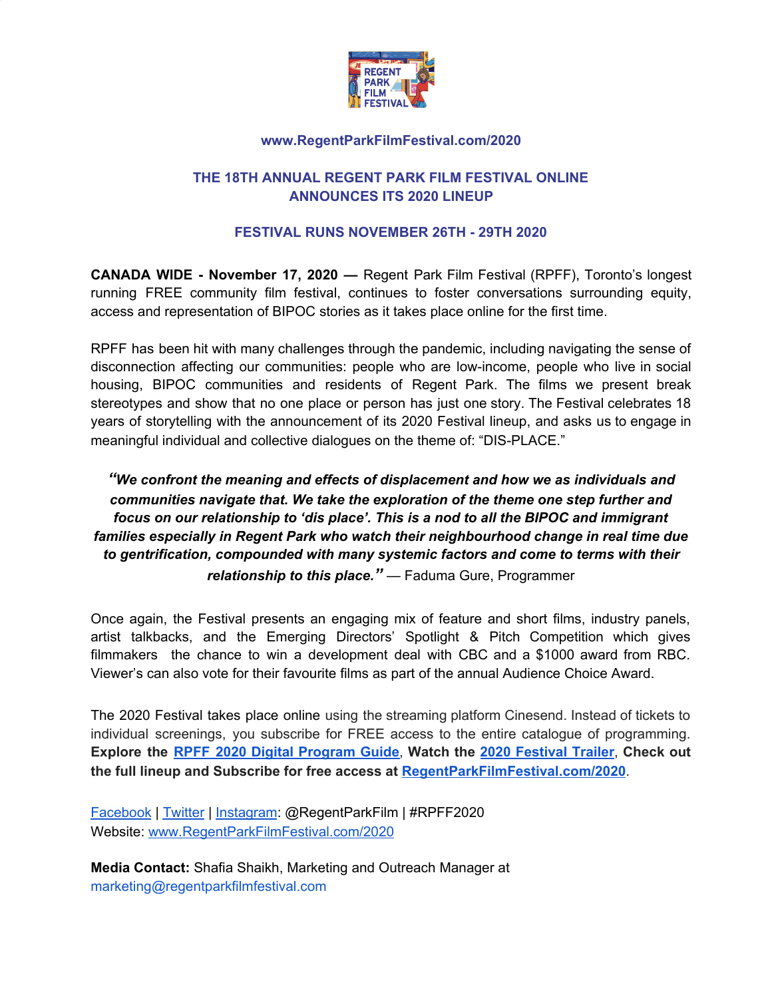

# **THE 18TH ANNUAL REGENT PARK FILM FESTIVAL ONLINE ANNOUNCES ITS 2020 LINEUP**

### **FESTIVAL RUNS NOVEMBER 26TH - 29TH 2020**

**CANADA WIDE - November 17, 2020 —** Regent Park Film Festival (RPFF), Toronto's longest running FREE community film festival, continues to foster conversations surrounding equity, access and representation of BIPOC stories as it takes place online for the first time.

RPFF has been hit with many challenges through the pandemic, including navigating the sense of disconnection affecting our communities: people who are low-income, people who live in social housing, BIPOC communities and residents of Regent Park. The films we present break stereotypes and show that no one place or person has just one story. The Festival celebrates 18 years of storytelling with the announcement of its 2020 Festival lineup, and asks us to engage in meaningful individual and collective dialogues on the theme of: "DIS-PLACE."

# *"We confront the meaning and effects of displacement and how we as individuals and communities navigate that. We take the exploration of the theme one step further and focus on our relationship to 'dis place'. This is a nod to all the BIPOC and immigrant families especially in Regent Park who watch their neighbourhood change in real time due to gentrification, compounded with many systemic factors and come to terms with their relationship to this place."* — Faduma Gure, Programmer

Once again, the Festival presents an engaging mix of feature and short films, industry panels, artist talkbacks, and the Emerging Directors' Spotlight & Pitch Competition which gives filmmakers the chance to win a development deal with CBC and a \$1000 award from RBC. Viewer's can also vote for their favourite films as part of the annual Audience Choice Award.

The 2020 Festival takes place online using the streaming platform Cinesend. Instead of tickets to individual screenings, you subscribe for FREE access to the entire catalogue of programming. **Explore the RPFF 2020 Digital [Program](https://regentparkfilmfestival-dot-yamm-track.appspot.com/Redirect?ukey=1BgrCj53QoLbt_Q2S1y5OlDtBAs9dQQ02GJi7gBqrSNo-2132647723&key=YAMMID-48843172&link=http%3A%2F%2Fregentparkfilmfestival.com%2F2020%2Fwp-content%2Fuploads%2Fsites%2F11%2F2020%2F11%2FRPFF2020-Digital-Program-Guide.pdf) Guide**, **Watch the 2020 [Festival](https://regentparkfilmfestival-dot-yamm-track.appspot.com/Redirect?ukey=1BgrCj53QoLbt_Q2S1y5OlDtBAs9dQQ02GJi7gBqrSNo-2132647723&key=YAMMID-48843172&link=https%3A%2F%2Fwww.youtube.com%2Fwatch%3Fv%3Dz4a9q8dEpmM) Trailer**, **Check out the full lineup and Subscribe for free access at [RegentParkFilmFestival.com/2020](https://regentparkfilmfestival-dot-yamm-track.appspot.com/Redirect?ukey=1BgrCj53QoLbt_Q2S1y5OlDtBAs9dQQ02GJi7gBqrSNo-2132647723&key=YAMMID-48843172&link=http%3A%2F%2Fregentparkfilmfestival.com%2F2020)**.

[Facebook](https://www.facebook.com/regentparkfilm) | [Twitter](https://twitter.com/regentparkfilm) | [Instagram](https://www.instagram.com/regentparkfilm/): @RegentParkFilm | #RPFF2020 Website: [www.RegentParkFilmFestival.com/2020](http://www.regentparkfilmfestival.com/2020)

**Media Contact:** Shafia Shaikh, Marketing and Outreach Manager at marketing@regentparkfilmfestival.com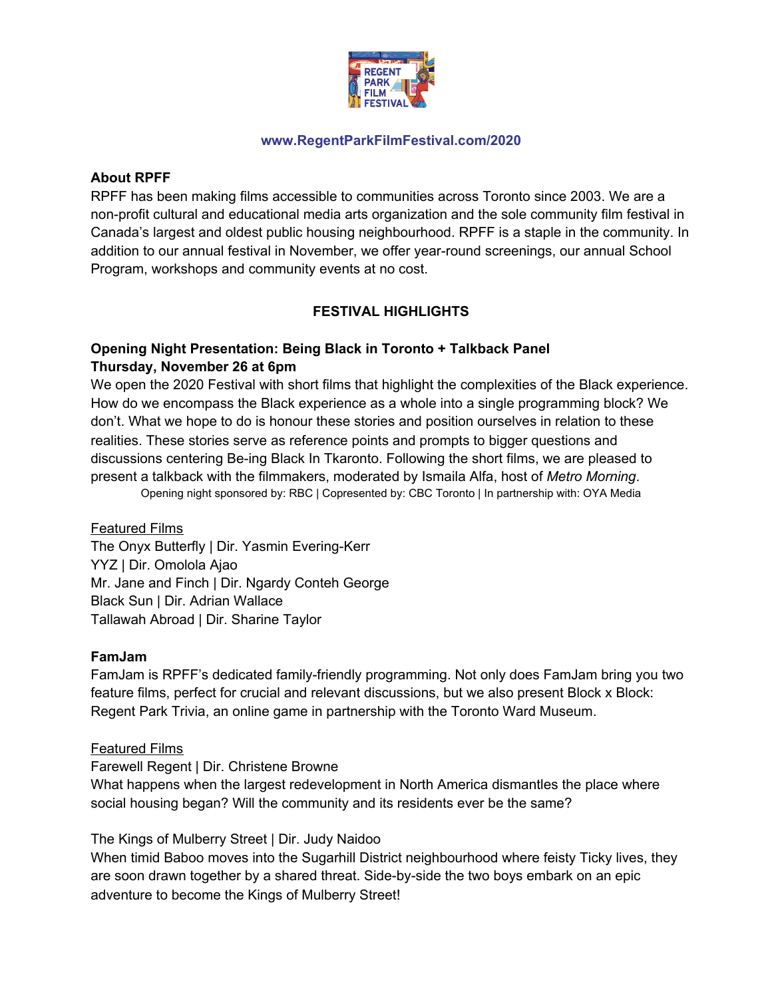

### **About RPFF**

RPFF has been making films accessible to communities across Toronto since 2003. We are a non-profit cultural and educational media arts organization and the sole community film festival in Canada's largest and oldest public housing neighbourhood. RPFF is a staple in the community. In addition to our annual festival in November, we offer year-round screenings, our annual School Program, workshops and community events at no cost.

# **FESTIVAL HIGHLIGHTS**

# **Opening Night Presentation: Being Black in Toronto + Talkback Panel Thursday, November 26 at 6pm**

We open the 2020 Festival with short films that highlight the complexities of the Black experience. How do we encompass the Black experience as a whole into a single programming block? We don't. What we hope to do is honour these stories and position ourselves in relation to these realities. These stories serve as reference points and prompts to bigger questions and discussions centering Be-ing Black In Tkaronto. Following the short films, we are pleased to present a talkback with the filmmakers, moderated by Ismaila Alfa, host of *Metro Morning*. Opening night sponsored by: RBC | Copresented by: CBC Toronto | In partnership with: OYA Media

# Featured Films

The Onyx Butterfly | Dir. Yasmin Evering-Kerr YYZ | Dir. Omolola Ajao Mr. Jane and Finch | Dir. Ngardy Conteh George Black Sun | Dir. Adrian Wallace Tallawah Abroad | Dir. Sharine Taylor

#### **FamJam**

FamJam is RPFF's dedicated family-friendly programming. Not only does FamJam bring you two feature films, perfect for crucial and relevant discussions, but we also present Block x Block: Regent Park Trivia, an online game in partnership with the Toronto Ward Museum.

#### Featured Films

Farewell Regent | Dir. Christene Browne

What happens when the largest redevelopment in North America dismantles the place where social housing began? Will the community and its residents ever be the same?

The Kings of Mulberry Street | Dir. Judy Naidoo

When timid Baboo moves into the Sugarhill District neighbourhood where feisty Ticky lives, they are soon drawn together by a shared threat. Side-by-side the two boys embark on an epic adventure to become the Kings of Mulberry Street!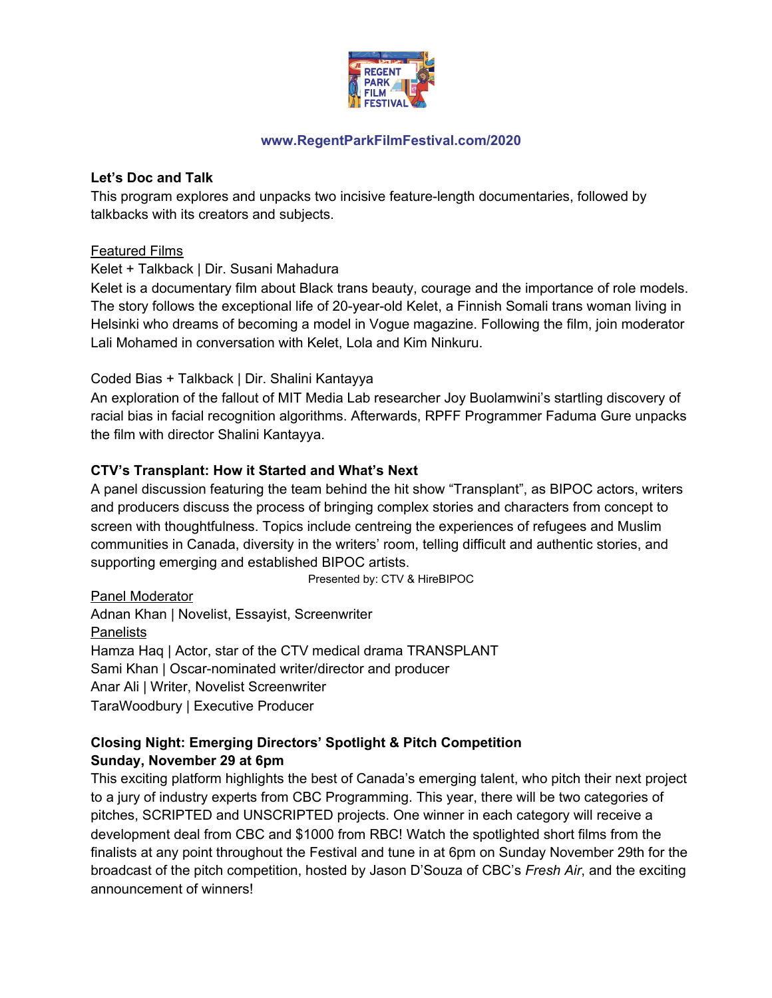

#### **Let's Doc and Talk**

This program explores and unpacks two incisive feature-length documentaries, followed by talkbacks with its creators and subjects.

### Featured Films

Kelet + Talkback | Dir. Susani Mahadura

Kelet is a documentary film about Black trans beauty, courage and the importance of role models. The story follows the exceptional life of 20-year-old Kelet, a Finnish Somali trans woman living in Helsinki who dreams of becoming a model in Vogue magazine. Following the film, join moderator Lali Mohamed in conversation with Kelet, Lola and Kim Ninkuru.

### Coded Bias + Talkback | Dir. Shalini Kantayya

An exploration of the fallout of MIT Media Lab researcher Joy Buolamwini's startling discovery of racial bias in facial recognition algorithms. Afterwards, RPFF Programmer Faduma Gure unpacks the film with director Shalini Kantayya.

# **CTV's Transplant: How it Started and What's Next**

A panel discussion featuring the team behind the hit show "Transplant", as BIPOC actors, writers and producers discuss the process of bringing complex stories and characters from concept to screen with thoughtfulness. Topics include centreing the experiences of refugees and Muslim communities in Canada, diversity in the writers' room, telling difficult and authentic stories, and supporting emerging and established BIPOC artists.

Presented by: CTV & HireBIPOC

Panel Moderator Adnan Khan | Novelist, Essayist, Screenwriter **Panelists** Hamza Haq | Actor, star of the CTV medical drama TRANSPLANT Sami Khan | Oscar-nominated writer/director and producer Anar Ali | Writer, Novelist Screenwriter TaraWoodbury | Executive Producer

# **Closing Night: Emerging Directors' Spotlight & Pitch Competition Sunday, November 29 at 6pm**

This exciting platform highlights the best of Canada's emerging talent, who pitch their next project to a jury of industry experts from CBC Programming. This year, there will be two categories of pitches, SCRIPTED and UNSCRIPTED projects. One winner in each category will receive a development deal from CBC and \$1000 from RBC! Watch the spotlighted short films from the finalists at any point throughout the Festival and tune in at 6pm on Sunday November 29th for the broadcast of the pitch competition, hosted by Jason D'Souza of CBC's *Fresh Air*, and the exciting announcement of winners!